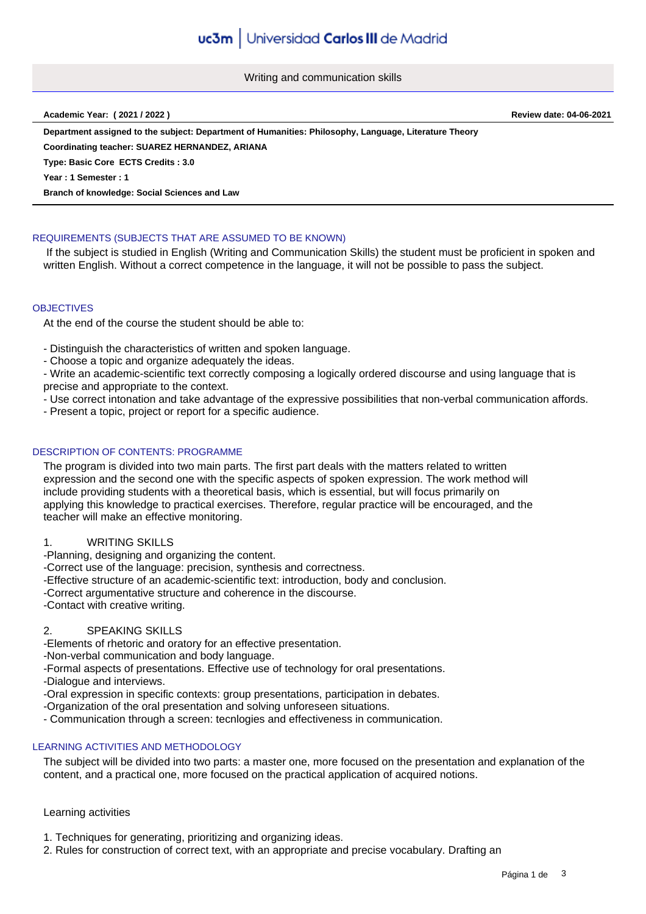Writing and communication skills

#### **Academic Year: ( 2021 / 2022 ) Review date: 04-06-2021**

**Department assigned to the subject: Department of Humanities: Philosophy, Language, Literature Theory Coordinating teacher: SUAREZ HERNANDEZ, ARIANA**

**Type: Basic Core ECTS Credits : 3.0**

**Year : 1 Semester : 1**

**Branch of knowledge: Social Sciences and Law**

# REQUIREMENTS (SUBJECTS THAT ARE ASSUMED TO BE KNOWN)

 If the subject is studied in English (Writing and Communication Skills) the student must be proficient in spoken and written English. Without a correct competence in the language, it will not be possible to pass the subject.

### **OBJECTIVES**

At the end of the course the student should be able to:

- Distinguish the characteristics of written and spoken language.

- Choose a topic and organize adequately the ideas.

- Write an academic-scientific text correctly composing a logically ordered discourse and using language that is precise and appropriate to the context.

- Use correct intonation and take advantage of the expressive possibilities that non-verbal communication affords.

- Present a topic, project or report for a specific audience.

# DESCRIPTION OF CONTENTS: PROGRAMME

The program is divided into two main parts. The first part deals with the matters related to written expression and the second one with the specific aspects of spoken expression. The work method will include providing students with a theoretical basis, which is essential, but will focus primarily on applying this knowledge to practical exercises. Therefore, regular practice will be encouraged, and the teacher will make an effective monitoring.

### 1. WRITING SKILLS

-Planning, designing and organizing the content.

-Correct use of the language: precision, synthesis and correctness.

-Effective structure of an academic-scientific text: introduction, body and conclusion.

-Correct argumentative structure and coherence in the discourse.

-Contact with creative writing.

# 2. SPEAKING SKILLS

-Elements of rhetoric and oratory for an effective presentation.

-Non-verbal communication and body language.

-Formal aspects of presentations. Effective use of technology for oral presentations.

-Dialogue and interviews.

-Oral expression in specific contexts: group presentations, participation in debates.

- -Organization of the oral presentation and solving unforeseen situations.
- Communication through a screen: tecnlogies and effectiveness in communication.

# LEARNING ACTIVITIES AND METHODOLOGY

The subject will be divided into two parts: a master one, more focused on the presentation and explanation of the content, and a practical one, more focused on the practical application of acquired notions.

### Learning activities

- 1. Techniques for generating, prioritizing and organizing ideas.
- 2. Rules for construction of correct text, with an appropriate and precise vocabulary. Drafting an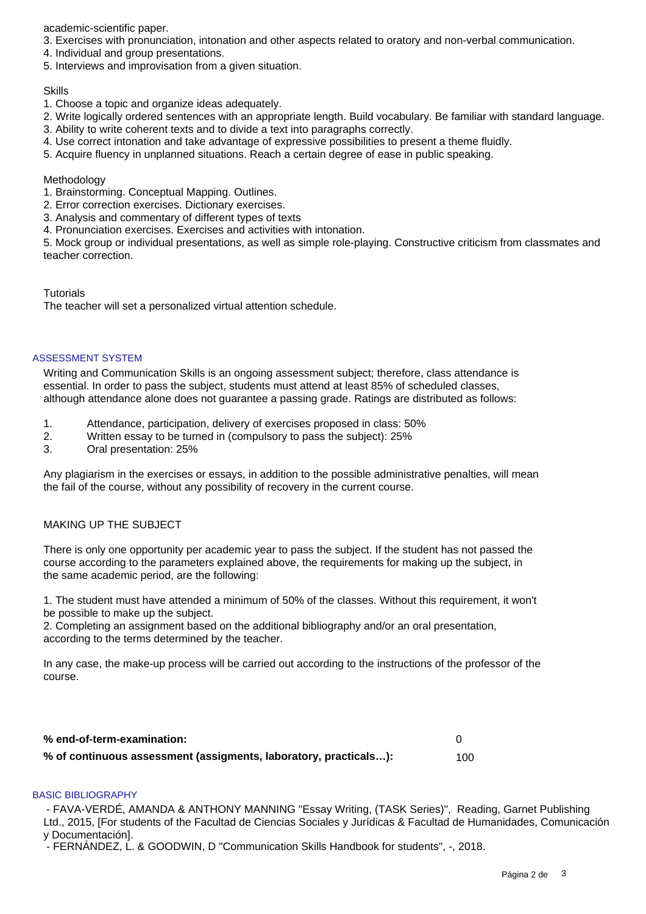academic-scientific paper.

- 3. Exercises with pronunciation, intonation and other aspects related to oratory and non-verbal communication.
- 4. Individual and group presentations.
- 5. Interviews and improvisation from a given situation.

### Skills

- 1. Choose a topic and organize ideas adequately.
- 2. Write logically ordered sentences with an appropriate length. Build vocabulary. Be familiar with standard language.
- 3. Ability to write coherent texts and to divide a text into paragraphs correctly.
- 4. Use correct intonation and take advantage of expressive possibilities to present a theme fluidly.
- 5. Acquire fluency in unplanned situations. Reach a certain degree of ease in public speaking.

# **Methodology**

- 1. Brainstorming. Conceptual Mapping. Outlines.
- 2. Error correction exercises. Dictionary exercises.
- 3. Analysis and commentary of different types of texts
- 4. Pronunciation exercises. Exercises and activities with intonation.

5. Mock group or individual presentations, as well as simple role-playing. Constructive criticism from classmates and teacher correction.

# **Tutorials**

The teacher will set a personalized virtual attention schedule.

### ASSESSMENT SYSTEM

Writing and Communication Skills is an ongoing assessment subject; therefore, class attendance is essential. In order to pass the subject, students must attend at least 85% of scheduled classes, although attendance alone does not guarantee a passing grade. Ratings are distributed as follows:

- 1. Attendance, participation, delivery of exercises proposed in class: 50%
- 2. Written essay to be turned in (compulsory to pass the subject): 25%
- 3. Oral presentation: 25%

Any plagiarism in the exercises or essays, in addition to the possible administrative penalties, will mean the fail of the course, without any possibility of recovery in the current course.

# MAKING UP THE SUBJECT

There is only one opportunity per academic year to pass the subject. If the student has not passed the course according to the parameters explained above, the requirements for making up the subject, in the same academic period, are the following:

1. The student must have attended a minimum of 50% of the classes. Without this requirement, it won't be possible to make up the subject.

2. Completing an assignment based on the additional bibliography and/or an oral presentation, according to the terms determined by the teacher.

In any case, the make-up process will be carried out according to the instructions of the professor of the course.

| % end-of-term-examination:                                       |     |
|------------------------------------------------------------------|-----|
| % of continuous assessment (assigments, laboratory, practicals): | 100 |

### BASIC BIBLIOGRAPHY

 - FAVA-VERDÉ, AMANDA & ANTHONY MANNING "Essay Writing, (TASK Series)", Reading, Garnet Publishing Ltd., 2015, [For students of the Facultad de Ciencias Sociales y Jurídicas & Facultad de Humanidades, Comunicación y Documentación].

- FERNÁNDEZ, L. & GOODWIN, D "Communication Skills Handbook for students", -, 2018.